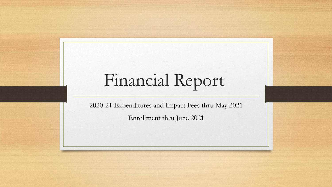## Financial Report

2020-21 Expenditures and Impact Fees thru May 2021 Enrollment thru June 2021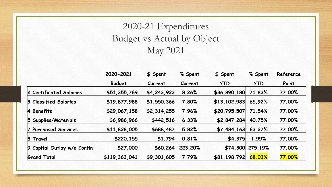## 2020-21 Expenditures Budget vs Actual by Object May 2021

|                                           | 2020-2021<br><b>Budget</b> | \$ Spent<br>Current | % Spent<br>Current | \$ Spent<br><b>YTD</b> | % Spent<br><b>YTD</b> | Reference<br>Point |
|-------------------------------------------|----------------------------|---------------------|--------------------|------------------------|-----------------------|--------------------|
|                                           |                            |                     |                    |                        |                       |                    |
| 2 Certificated Salaries                   | \$51,355,769               | \$4,243,923         | 8.26%              | \$36,890,180           | 71.83%                | 77.00%             |
| 3 Classified Salaries                     | \$19,877,988               | \$1,550,366         | 7.80%              | \$13,102,983           | 65.92%                | 77.00%             |
| 4 Benefits                                | \$29,067,158               | \$2,314,255         | 7.96%              | \$20,795,507           | 71.54%                | 77.00%             |
| 5 Supplies/Materials                      | \$6,986,966                | \$442,516           | 6.33%              | \$2,847,284            | 40.75%                | 77.00%             |
| <b>Purchased Services</b><br>$\mathbf{7}$ | \$11,828,005               | \$688,487           | 5.82%              | \$7,484,163            | 63.27%                | 77.00%             |
| 8 Travel                                  | \$220,155                  | \$1,794             | 0.81%              | \$4,375                | 1.99%                 | 77.00%             |
| 9 Capital Outlay w/o Contin               | \$27,000                   | \$60,264            | 223.20%            | \$74,300               | 275.19%               | 77.00%             |
| <b>Grand Total</b>                        | \$119,363,041              | \$9,301,605         | 7.79%              | \$81,198,792           | 68.03%                | <b>77.00%</b>      |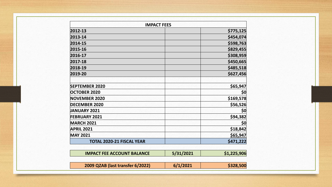| <b>IMPACT FEES</b>                |           |             |
|-----------------------------------|-----------|-------------|
| 2012-13                           |           | \$775,125   |
| 2013-14                           |           | \$454,074   |
| 2014-15                           |           | \$598,763   |
| 2015-16                           |           | \$829,455   |
| 2016-17                           |           | \$308,959   |
| 2017-18                           |           | \$450,665   |
| 2018-19                           |           | \$485,518   |
| 2019-20                           |           | \$627,456   |
| <b>SEPTEMBER 2020</b>             |           | \$65,947    |
| <b>OCTOBER 2020</b>               |           | \$0         |
| <b>NOVEMBER 2020</b>              |           | \$169,578   |
| <b>DECEMBER 2020</b>              |           | \$56,526    |
| <b>JANUARY 2021</b>               |           | \$0         |
| <b>FEBRUARY 2021</b>              |           | \$94,382    |
| <b>MARCH 2021</b>                 |           | \$0         |
| <b>APRIL 2021</b>                 |           | \$18,842    |
| <b>MAY 2021</b>                   |           | \$65,947    |
| <b>TOTAL 2020-21 FISCAL YEAR</b>  |           | \$471,222   |
| <b>IMPACT FEE ACCOUNT BALANCE</b> | 5/31/2021 | \$1,225,906 |

| 2009 QZAB (last transfer 6/2022) | 6/1/2021 | \$328,500 |
|----------------------------------|----------|-----------|
|----------------------------------|----------|-----------|